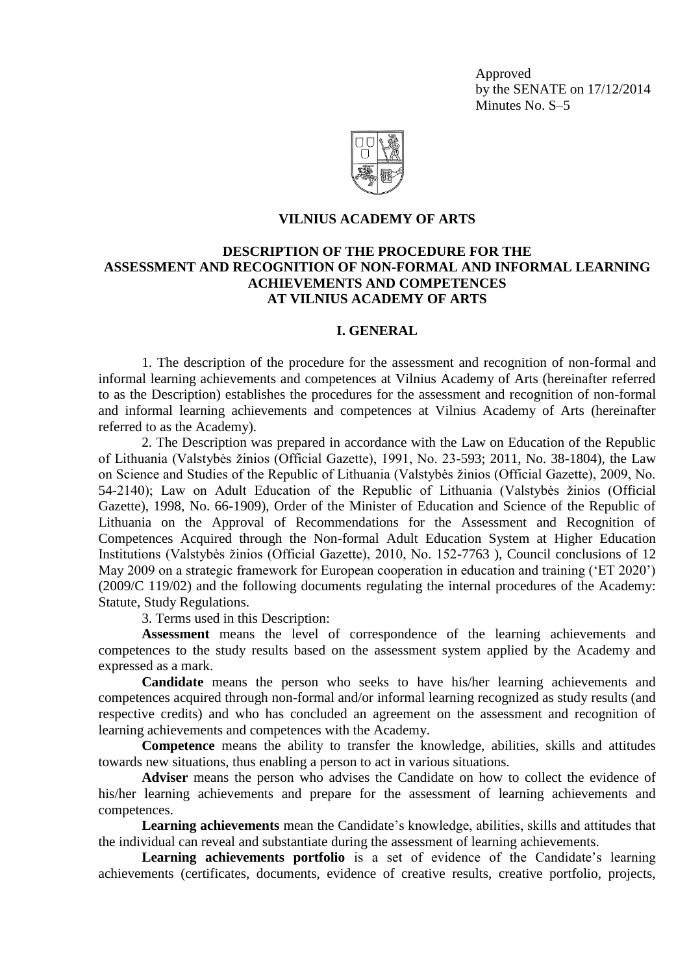Approved by the SENATE on 17/12/2014 Minutes No. S–5



#### **VILNIUS ACADEMY OF ARTS**

## **DESCRIPTION OF THE PROCEDURE FOR THE ASSESSMENT AND RECOGNITION OF NON-FORMAL AND INFORMAL LEARNING ACHIEVEMENTS AND COMPETENCES AT VILNIUS ACADEMY OF ARTS**

#### **I. GENERAL**

1. The description of the procedure for the assessment and recognition of non-formal and informal learning achievements and competences at Vilnius Academy of Arts (hereinafter referred to as the Description) establishes the procedures for the assessment and recognition of non-formal and informal learning achievements and competences at Vilnius Academy of Arts (hereinafter referred to as the Academy).

2. The Description was prepared in accordance with the Law on Education of the Republic of Lithuania (Valstybės žinios (Official Gazette), 1991, No. 23-593; 2011, No. 38-1804), the Law on Science and Studies of the Republic of Lithuania (Valstybės žinios (Official Gazette), 2009, No. 54-2140); Law on Adult Education of the Republic of Lithuania (Valstybės žinios (Official Gazette), 1998, No. 66-1909), Order of the Minister of Education and Science of the Republic of Lithuania on the Approval of Recommendations for the Assessment and Recognition of Competences Acquired through the Non-formal Adult Education System at Higher Education Institutions (Valstybės žinios (Official Gazette), 2010, No. 152-7763 ), Council conclusions of 12 May 2009 on a strategic framework for European cooperation in education and training ('ET 2020') (2009/C 119/02) and the following documents regulating the internal procedures of the Academy: Statute, Study Regulations.

3. Terms used in this Description:

**Assessment** means the level of correspondence of the learning achievements and competences to the study results based on the assessment system applied by the Academy and expressed as a mark.

**Candidate** means the person who seeks to have his/her learning achievements and competences acquired through non-formal and/or informal learning recognized as study results (and respective credits) and who has concluded an agreement on the assessment and recognition of learning achievements and competences with the Academy.

**Competence** means the ability to transfer the knowledge, abilities, skills and attitudes towards new situations, thus enabling a person to act in various situations.

**Adviser** means the person who advises the Candidate on how to collect the evidence of his/her learning achievements and prepare for the assessment of learning achievements and competences.

**Learning achievements** mean the Candidate's knowledge, abilities, skills and attitudes that the individual can reveal and substantiate during the assessment of learning achievements.

**Learning achievements portfolio** is a set of evidence of the Candidate's learning achievements (certificates, documents, evidence of creative results, creative portfolio, projects,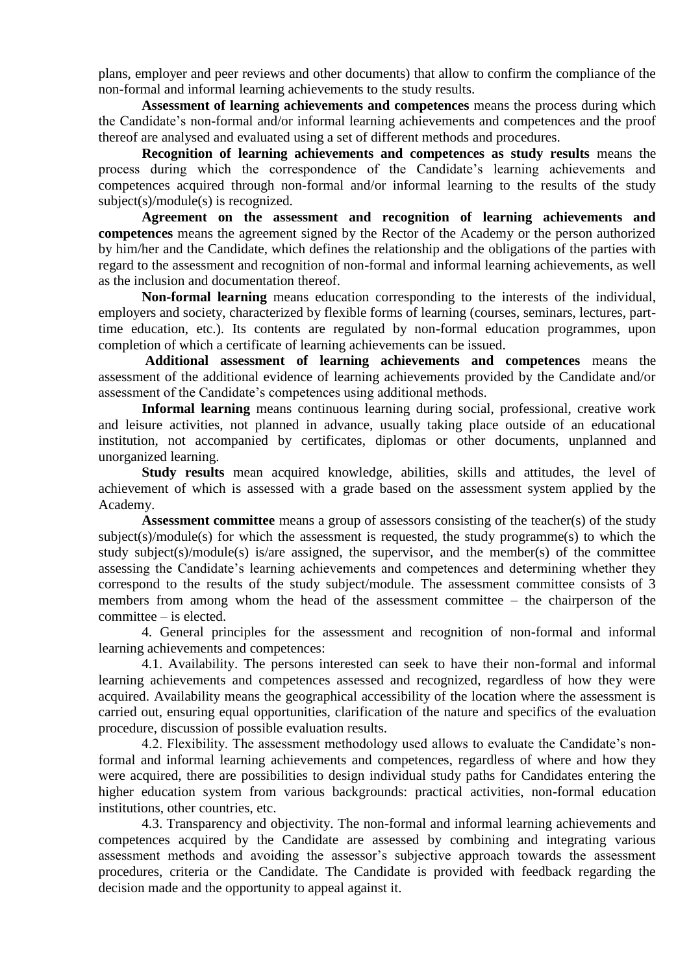plans, employer and peer reviews and other documents) that allow to confirm the compliance of the non-formal and informal learning achievements to the study results.

**Assessment of learning achievements and competences** means the process during which the Candidate's non-formal and/or informal learning achievements and competences and the proof thereof are analysed and evaluated using a set of different methods and procedures.

**Recognition of learning achievements and competences as study results** means the process during which the correspondence of the Candidate's learning achievements and competences acquired through non-formal and/or informal learning to the results of the study subject(s)/module(s) is recognized.

**Agreement on the assessment and recognition of learning achievements and competences** means the agreement signed by the Rector of the Academy or the person authorized by him/her and the Candidate, which defines the relationship and the obligations of the parties with regard to the assessment and recognition of non-formal and informal learning achievements, as well as the inclusion and documentation thereof.

**Non-formal learning** means education corresponding to the interests of the individual, employers and society, characterized by flexible forms of learning (courses, seminars, lectures, parttime education, etc.). Its contents are regulated by non-formal education programmes, upon completion of which a certificate of learning achievements can be issued.

**Additional assessment of learning achievements and competences** means the assessment of the additional evidence of learning achievements provided by the Candidate and/or assessment of the Candidate's competences using additional methods.

**Informal learning** means continuous learning during social, professional, creative work and leisure activities, not planned in advance, usually taking place outside of an educational institution, not accompanied by certificates, diplomas or other documents, unplanned and unorganized learning.

**Study results** mean acquired knowledge, abilities, skills and attitudes, the level of achievement of which is assessed with a grade based on the assessment system applied by the Academy.

**Assessment committee** means a group of assessors consisting of the teacher(s) of the study subject(s)/module(s) for which the assessment is requested, the study programme(s) to which the study subject(s)/module(s) is/are assigned, the supervisor, and the member(s) of the committee assessing the Candidate's learning achievements and competences and determining whether they correspond to the results of the study subject/module. The assessment committee consists of 3 members from among whom the head of the assessment committee – the chairperson of the committee – is elected.

4. General principles for the assessment and recognition of non-formal and informal learning achievements and competences:

4.1. Availability. The persons interested can seek to have their non-formal and informal learning achievements and competences assessed and recognized, regardless of how they were acquired. Availability means the geographical accessibility of the location where the assessment is carried out, ensuring equal opportunities, clarification of the nature and specifics of the evaluation procedure, discussion of possible evaluation results.

4.2. Flexibility. The assessment methodology used allows to evaluate the Candidate's nonformal and informal learning achievements and competences, regardless of where and how they were acquired, there are possibilities to design individual study paths for Candidates entering the higher education system from various backgrounds: practical activities, non-formal education institutions, other countries, etc.

4.3. Transparency and objectivity. The non-formal and informal learning achievements and competences acquired by the Candidate are assessed by combining and integrating various assessment methods and avoiding the assessor's subjective approach towards the assessment procedures, criteria or the Candidate. The Candidate is provided with feedback regarding the decision made and the opportunity to appeal against it.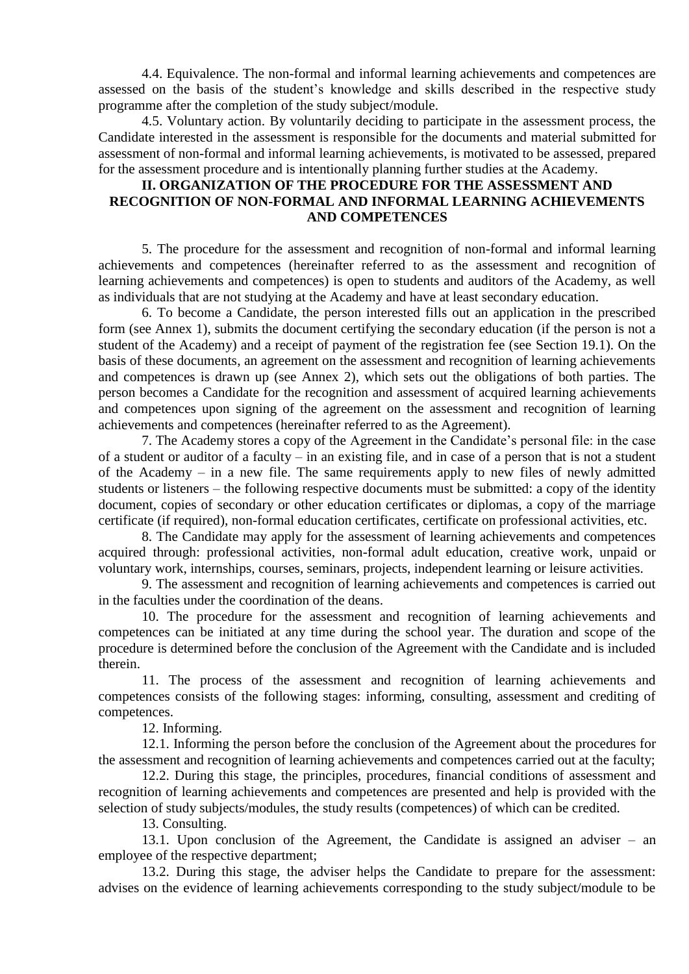4.4. Equivalence. The non-formal and informal learning achievements and competences are assessed on the basis of the student's knowledge and skills described in the respective study programme after the completion of the study subject/module.

4.5. Voluntary action. By voluntarily deciding to participate in the assessment process, the Candidate interested in the assessment is responsible for the documents and material submitted for assessment of non-formal and informal learning achievements, is motivated to be assessed, prepared for the assessment procedure and is intentionally planning further studies at the Academy.

### **II. ORGANIZATION OF THE PROCEDURE FOR THE ASSESSMENT AND RECOGNITION OF NON-FORMAL AND INFORMAL LEARNING ACHIEVEMENTS AND COMPETENCES**

5. The procedure for the assessment and recognition of non-formal and informal learning achievements and competences (hereinafter referred to as the assessment and recognition of learning achievements and competences) is open to students and auditors of the Academy, as well as individuals that are not studying at the Academy and have at least secondary education.

6. To become a Candidate, the person interested fills out an application in the prescribed form (see Annex 1), submits the document certifying the secondary education (if the person is not a student of the Academy) and a receipt of payment of the registration fee (see Section 19.1). On the basis of these documents, an agreement on the assessment and recognition of learning achievements and competences is drawn up (see Annex 2), which sets out the obligations of both parties. The person becomes a Candidate for the recognition and assessment of acquired learning achievements and competences upon signing of the agreement on the assessment and recognition of learning achievements and competences (hereinafter referred to as the Agreement).

7. The Academy stores a copy of the Agreement in the Candidate's personal file: in the case of a student or auditor of a faculty – in an existing file, and in case of a person that is not a student of the Academy – in a new file. The same requirements apply to new files of newly admitted students or listeners – the following respective documents must be submitted: a copy of the identity document, copies of secondary or other education certificates or diplomas, a copy of the marriage certificate (if required), non-formal education certificates, certificate on professional activities, etc.

8. The Candidate may apply for the assessment of learning achievements and competences acquired through: professional activities, non-formal adult education, creative work, unpaid or voluntary work, internships, courses, seminars, projects, independent learning or leisure activities.

9. The assessment and recognition of learning achievements and competences is carried out in the faculties under the coordination of the deans.

10. The procedure for the assessment and recognition of learning achievements and competences can be initiated at any time during the school year. The duration and scope of the procedure is determined before the conclusion of the Agreement with the Candidate and is included therein.

11. The process of the assessment and recognition of learning achievements and competences consists of the following stages: informing, consulting, assessment and crediting of competences.

12. Informing.

12.1. Informing the person before the conclusion of the Agreement about the procedures for the assessment and recognition of learning achievements and competences carried out at the faculty;

12.2. During this stage, the principles, procedures, financial conditions of assessment and recognition of learning achievements and competences are presented and help is provided with the selection of study subjects/modules, the study results (competences) of which can be credited.

13. Consulting.

13.1. Upon conclusion of the Agreement, the Candidate is assigned an adviser – an employee of the respective department;

13.2. During this stage, the adviser helps the Candidate to prepare for the assessment: advises on the evidence of learning achievements corresponding to the study subject/module to be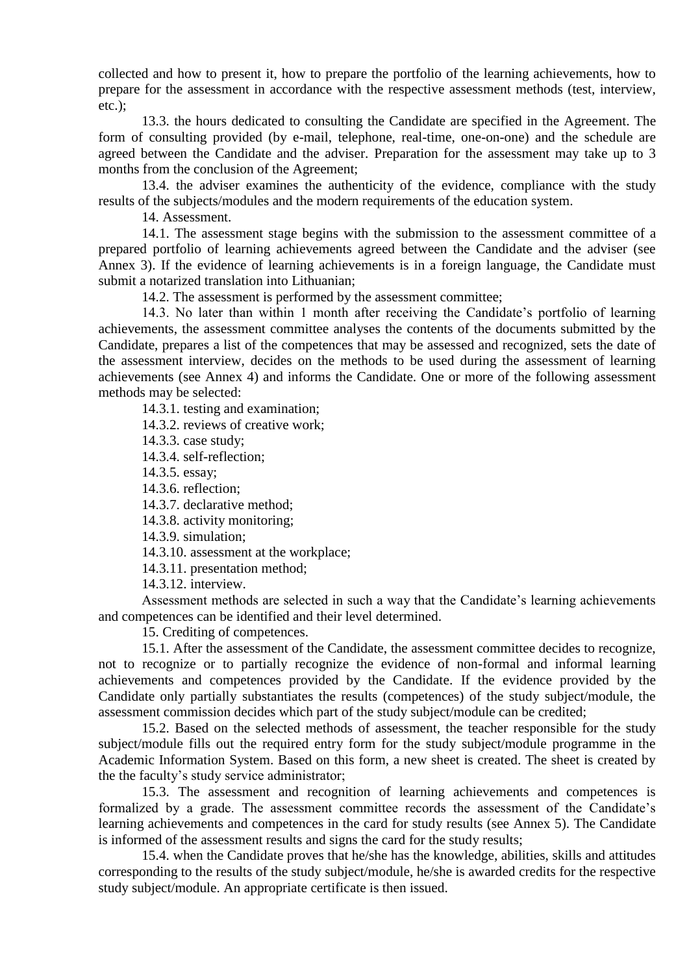collected and how to present it, how to prepare the portfolio of the learning achievements, how to prepare for the assessment in accordance with the respective assessment methods (test, interview, etc.);

13.3. the hours dedicated to consulting the Candidate are specified in the Agreement. The form of consulting provided (by e-mail, telephone, real-time, one-on-one) and the schedule are agreed between the Candidate and the adviser. Preparation for the assessment may take up to 3 months from the conclusion of the Agreement;

13.4. the adviser examines the authenticity of the evidence, compliance with the study results of the subjects/modules and the modern requirements of the education system.

14. Assessment.

14.1. The assessment stage begins with the submission to the assessment committee of a prepared portfolio of learning achievements agreed between the Candidate and the adviser (see Annex 3). If the evidence of learning achievements is in a foreign language, the Candidate must submit a notarized translation into Lithuanian;

14.2. The assessment is performed by the assessment committee;

14.3. No later than within 1 month after receiving the Candidate's portfolio of learning achievements, the assessment committee analyses the contents of the documents submitted by the Candidate, prepares a list of the competences that may be assessed and recognized, sets the date of the assessment interview, decides on the methods to be used during the assessment of learning achievements (see Annex 4) and informs the Candidate. One or more of the following assessment methods may be selected:

14.3.1. testing and examination;

14.3.2. reviews of creative work;

14.3.3. case study;

14.3.4. self-reflection;

14.3.5. essay;

14.3.6. reflection;

14.3.7. declarative method;

14.3.8. activity monitoring;

14.3.9. simulation;

14.3.10. assessment at the workplace;

14.3.11. presentation method;

14.3.12. interview.

Assessment methods are selected in such a way that the Candidate's learning achievements and competences can be identified and their level determined.

15. Crediting of competences.

15.1. After the assessment of the Candidate, the assessment committee decides to recognize, not to recognize or to partially recognize the evidence of non-formal and informal learning achievements and competences provided by the Candidate. If the evidence provided by the Candidate only partially substantiates the results (competences) of the study subject/module, the assessment commission decides which part of the study subject/module can be credited;

15.2. Based on the selected methods of assessment, the teacher responsible for the study subject/module fills out the required entry form for the study subject/module programme in the Academic Information System. Based on this form, a new sheet is created. The sheet is created by the the faculty's study service administrator;

15.3. The assessment and recognition of learning achievements and competences is formalized by a grade. The assessment committee records the assessment of the Candidate's learning achievements and competences in the card for study results (see Annex 5). The Candidate is informed of the assessment results and signs the card for the study results;

15.4. when the Candidate proves that he/she has the knowledge, abilities, skills and attitudes corresponding to the results of the study subject/module, he/she is awarded credits for the respective study subject/module. An appropriate certificate is then issued.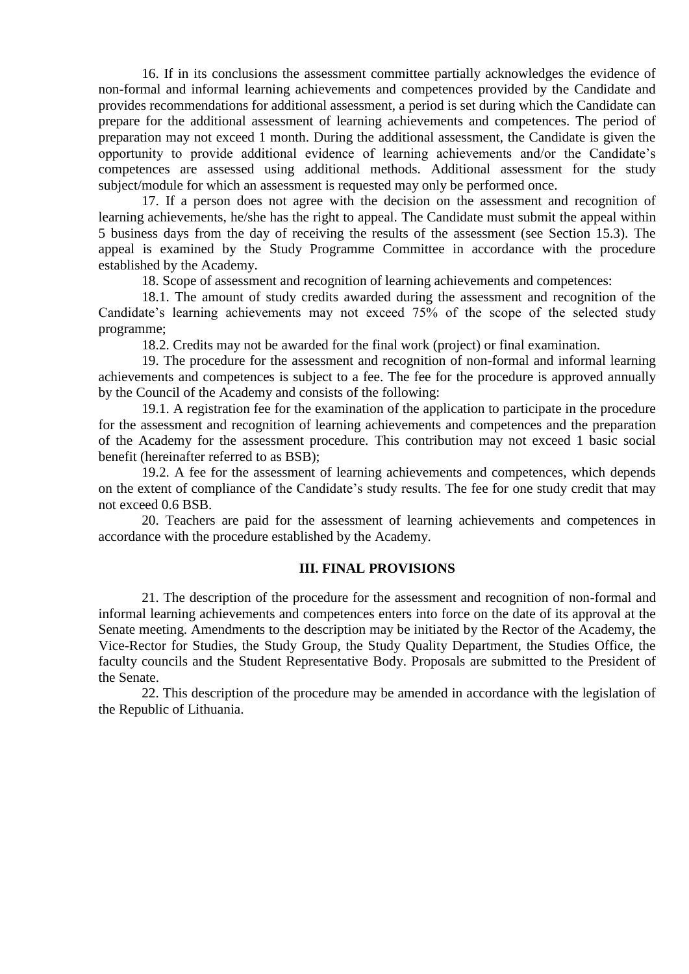16. If in its conclusions the assessment committee partially acknowledges the evidence of non-formal and informal learning achievements and competences provided by the Candidate and provides recommendations for additional assessment, a period is set during which the Candidate can prepare for the additional assessment of learning achievements and competences. The period of preparation may not exceed 1 month. During the additional assessment, the Candidate is given the opportunity to provide additional evidence of learning achievements and/or the Candidate's competences are assessed using additional methods. Additional assessment for the study subject/module for which an assessment is requested may only be performed once.

17. If a person does not agree with the decision on the assessment and recognition of learning achievements, he/she has the right to appeal. The Candidate must submit the appeal within 5 business days from the day of receiving the results of the assessment (see Section 15.3). The appeal is examined by the Study Programme Committee in accordance with the procedure established by the Academy.

18. Scope of assessment and recognition of learning achievements and competences:

18.1. The amount of study credits awarded during the assessment and recognition of the Candidate's learning achievements may not exceed 75% of the scope of the selected study programme;

18.2. Credits may not be awarded for the final work (project) or final examination.

19. The procedure for the assessment and recognition of non-formal and informal learning achievements and competences is subject to a fee. The fee for the procedure is approved annually by the Council of the Academy and consists of the following:

19.1. A registration fee for the examination of the application to participate in the procedure for the assessment and recognition of learning achievements and competences and the preparation of the Academy for the assessment procedure. This contribution may not exceed 1 basic social benefit (hereinafter referred to as BSB);

19.2. A fee for the assessment of learning achievements and competences, which depends on the extent of compliance of the Candidate's study results. The fee for one study credit that may not exceed 0.6 BSB.

20. Teachers are paid for the assessment of learning achievements and competences in accordance with the procedure established by the Academy.

## **III. FINAL PROVISIONS**

21. The description of the procedure for the assessment and recognition of non-formal and informal learning achievements and competences enters into force on the date of its approval at the Senate meeting. Amendments to the description may be initiated by the Rector of the Academy, the Vice-Rector for Studies, the Study Group, the Study Quality Department, the Studies Office, the faculty councils and the Student Representative Body. Proposals are submitted to the President of the Senate.

22. This description of the procedure may be amended in accordance with the legislation of the Republic of Lithuania.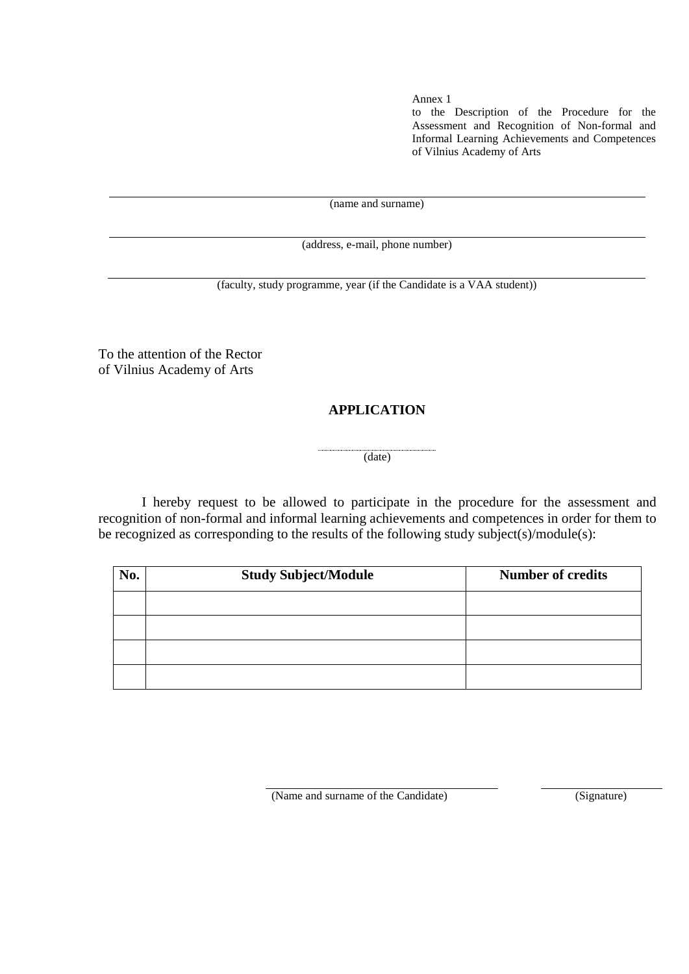Annex 1

to the Description of the Procedure for the Assessment and Recognition of Non-formal and Informal Learning Achievements and Competences of Vilnius Academy of Arts

(name and surname)

(address, e-mail, phone number)

(faculty, study programme, year (if the Candidate is a VAA student))

To the attention of the Rector of Vilnius Academy of Arts

# **APPLICATION**

(date)

I hereby request to be allowed to participate in the procedure for the assessment and recognition of non-formal and informal learning achievements and competences in order for them to be recognized as corresponding to the results of the following study subject(s)/module(s):

| No. | <b>Study Subject/Module</b> | <b>Number of credits</b> |  |
|-----|-----------------------------|--------------------------|--|
|     |                             |                          |  |
|     |                             |                          |  |
|     |                             |                          |  |
|     |                             |                          |  |

<sup>(</sup>Name and surname of the Candidate) . (Signature)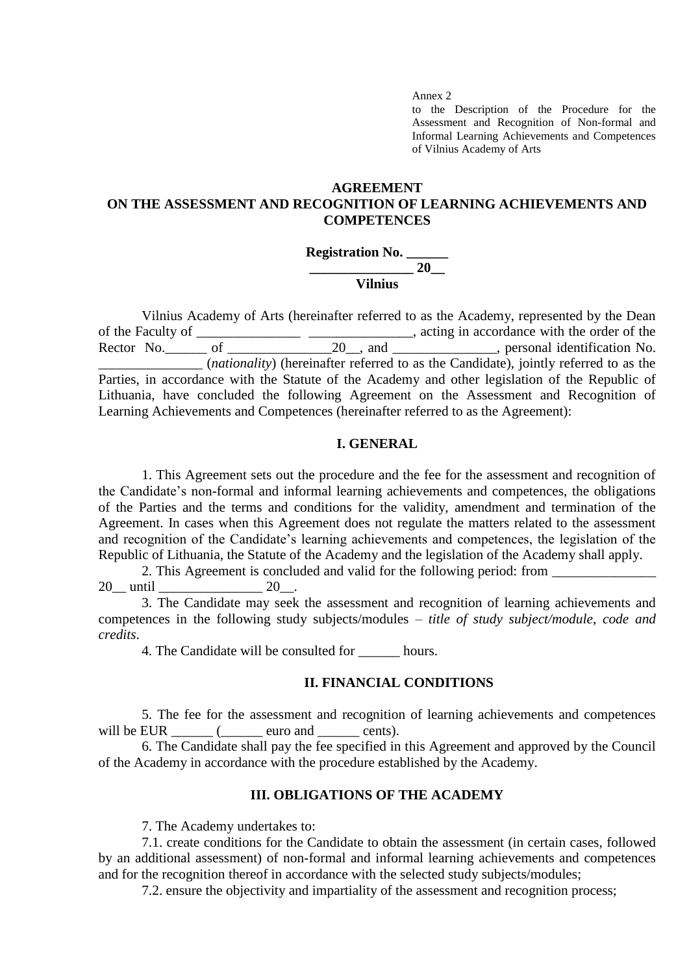Annex 2

to the Description of the Procedure for the Assessment and Recognition of Non-formal and Informal Learning Achievements and Competences of Vilnius Academy of Arts

## **AGREEMENT ON THE ASSESSMENT AND RECOGNITION OF LEARNING ACHIEVEMENTS AND COMPETENCES**

**Registration No. \_\_\_\_\_\_ \_\_\_\_\_\_\_\_\_\_\_\_\_\_\_ 20\_\_ Vilnius**

Vilnius Academy of Arts (hereinafter referred to as the Academy, represented by the Dean of the Faculty of \_\_\_\_\_\_\_\_\_\_\_\_\_\_\_ \_\_\_\_\_\_\_\_\_\_\_\_\_\_\_, acting in accordance with the order of the Rector No. 6. The Sector of  $\frac{20}{\ldots}$  and  $\frac{20}{\ldots}$  and  $\frac{20}{\ldots}$ , personal identification No. \_\_\_\_\_\_\_\_\_\_\_\_\_\_\_ (*nationality*) (hereinafter referred to as the Candidate), jointly referred to as the Parties, in accordance with the Statute of the Academy and other legislation of the Republic of Lithuania, have concluded the following Agreement on the Assessment and Recognition of Learning Achievements and Competences (hereinafter referred to as the Agreement):

### **I. GENERAL**

1. This Agreement sets out the procedure and the fee for the assessment and recognition of the Candidate's non-formal and informal learning achievements and competences, the obligations of the Parties and the terms and conditions for the validity, amendment and termination of the Agreement. In cases when this Agreement does not regulate the matters related to the assessment and recognition of the Candidate's learning achievements and competences, the legislation of the Republic of Lithuania, the Statute of the Academy and the legislation of the Academy shall apply.

2. This Agreement is concluded and valid for the following period: from 20 until 20 and 20 and 20 and 20 and 20 and 20 and 20 and 20 and 20 and 20 and 20 and 20 and 20 and 20 and 20 and 20 and 20 and 20 and 20 and 20 and 20 and 20 and 20 and 20 and 20 and 20 and 20 and 20 and 20 and 20 and 20

3. The Candidate may seek the assessment and recognition of learning achievements and competences in the following study subjects/modules – *title of study subject/module*, *code and credits*.

4. The Candidate will be consulted for \_\_\_\_\_\_ hours.

#### **II. FINANCIAL CONDITIONS**

5. The fee for the assessment and recognition of learning achievements and competences will be  $EUR$   $\qquad \qquad$  ( $\qquad \qquad$  euro and  $\qquad \qquad$  cents).

6. The Candidate shall pay the fee specified in this Agreement and approved by the Council of the Academy in accordance with the procedure established by the Academy.

## **III. OBLIGATIONS OF THE ACADEMY**

7. The Academy undertakes to:

7.1. create conditions for the Candidate to obtain the assessment (in certain cases, followed by an additional assessment) of non-formal and informal learning achievements and competences and for the recognition thereof in accordance with the selected study subjects/modules;

7.2. ensure the objectivity and impartiality of the assessment and recognition process;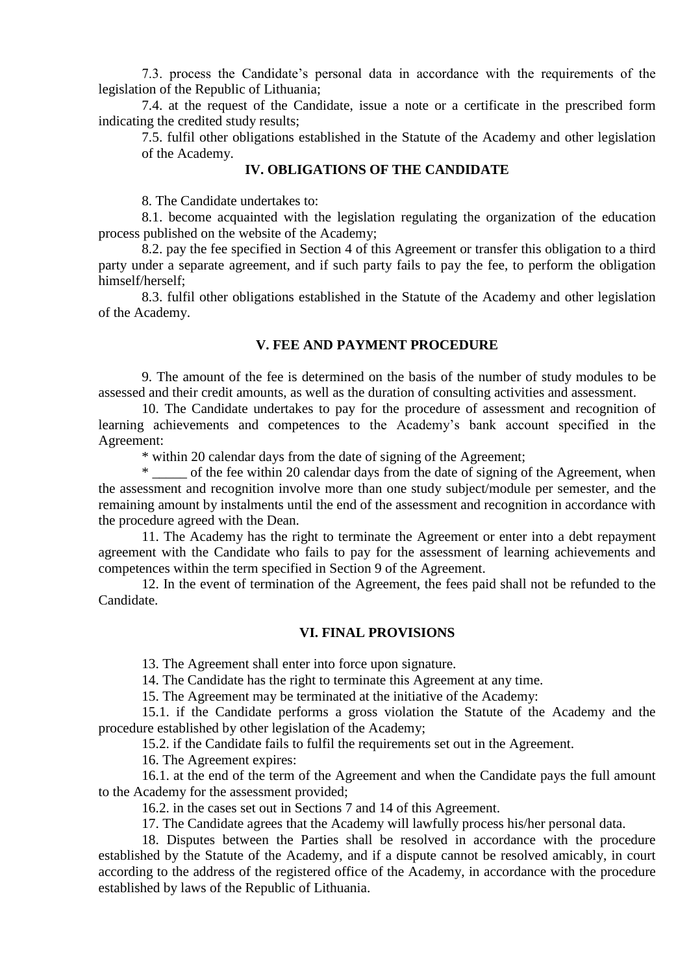7.3. process the Candidate's personal data in accordance with the requirements of the legislation of the Republic of Lithuania;

7.4. at the request of the Candidate, issue a note or a certificate in the prescribed form indicating the credited study results;

7.5. fulfil other obligations established in the Statute of the Academy and other legislation of the Academy.

## **IV. OBLIGATIONS OF THE CANDIDATE**

8. The Candidate undertakes to:

8.1. become acquainted with the legislation regulating the organization of the education process published on the website of the Academy;

8.2. pay the fee specified in Section 4 of this Agreement or transfer this obligation to a third party under a separate agreement, and if such party fails to pay the fee, to perform the obligation himself/herself;

8.3. fulfil other obligations established in the Statute of the Academy and other legislation of the Academy.

#### **V. FEE AND PAYMENT PROCEDURE**

9. The amount of the fee is determined on the basis of the number of study modules to be assessed and their credit amounts, as well as the duration of consulting activities and assessment.

10. The Candidate undertakes to pay for the procedure of assessment and recognition of learning achievements and competences to the Academy's bank account specified in the Agreement:

\* within 20 calendar days from the date of signing of the Agreement;

\* \_\_\_\_\_ of the fee within 20 calendar days from the date of signing of the Agreement, when the assessment and recognition involve more than one study subject/module per semester, and the remaining amount by instalments until the end of the assessment and recognition in accordance with the procedure agreed with the Dean.

11. The Academy has the right to terminate the Agreement or enter into a debt repayment agreement with the Candidate who fails to pay for the assessment of learning achievements and competences within the term specified in Section 9 of the Agreement.

12. In the event of termination of the Agreement, the fees paid shall not be refunded to the Candidate.

#### **VI. FINAL PROVISIONS**

13. The Agreement shall enter into force upon signature.

14. The Candidate has the right to terminate this Agreement at any time.

15. The Agreement may be terminated at the initiative of the Academy:

15.1. if the Candidate performs a gross violation the Statute of the Academy and the procedure established by other legislation of the Academy;

15.2. if the Candidate fails to fulfil the requirements set out in the Agreement.

16. The Agreement expires:

16.1. at the end of the term of the Agreement and when the Candidate pays the full amount to the Academy for the assessment provided;

16.2. in the cases set out in Sections 7 and 14 of this Agreement.

17. The Candidate agrees that the Academy will lawfully process his/her personal data.

18. Disputes between the Parties shall be resolved in accordance with the procedure established by the Statute of the Academy, and if a dispute cannot be resolved amicably, in court according to the address of the registered office of the Academy, in accordance with the procedure established by laws of the Republic of Lithuania.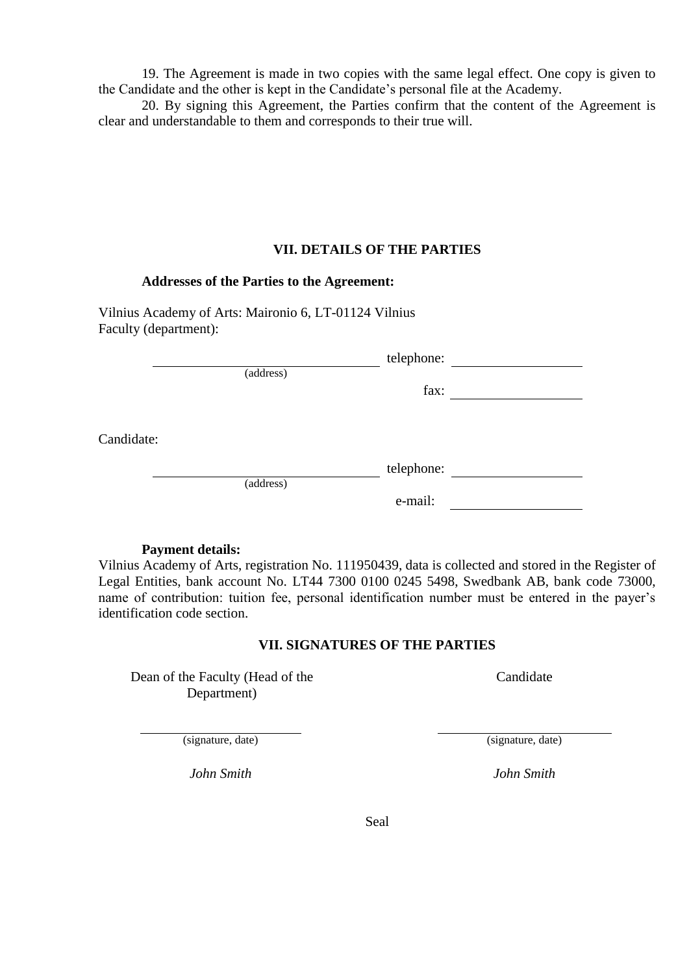19. The Agreement is made in two copies with the same legal effect. One copy is given to the Candidate and the other is kept in the Candidate's personal file at the Academy.

20. By signing this Agreement, the Parties confirm that the content of the Agreement is clear and understandable to them and corresponds to their true will.

# **VII. DETAILS OF THE PARTIES**

## **Addresses of the Parties to the Agreement:**

Vilnius Academy of Arts: Maironio 6, LT-01124 Vilnius Faculty (department):

|            | (address) | telephone: |  |
|------------|-----------|------------|--|
|            |           | fax:       |  |
| Candidate: |           |            |  |
|            | (address) | telephone: |  |
|            |           | e-mail:    |  |

## **Payment details:**

Vilnius Academy of Arts, registration No. 111950439, data is collected and stored in the Register of Legal Entities, bank account No. LT44 7300 0100 0245 5498, Swedbank AB, bank code 73000, name of contribution: tuition fee, personal identification number must be entered in the payer's identification code section.

# **VII. SIGNATURES OF THE PARTIES**

Dean of the Faculty (Head of the Department)

Candidate

(signature, date) (signature, date)

*John Smith John Smith*

Seal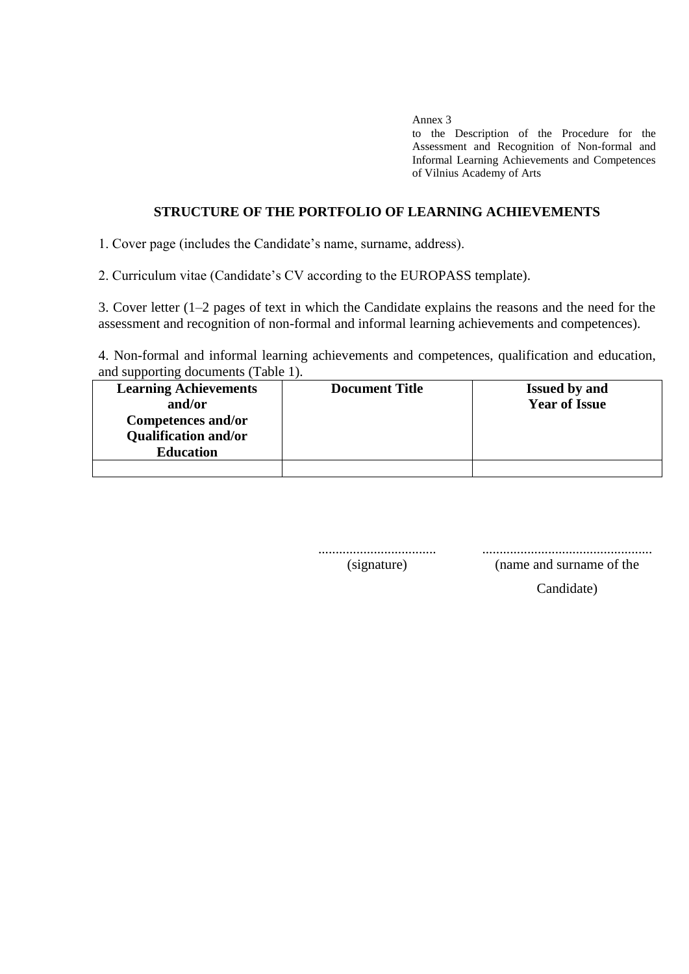Annex 3 to the Description of the Procedure for the Assessment and Recognition of Non-formal and Informal Learning Achievements and Competences of Vilnius Academy of Arts

# **STRUCTURE OF THE PORTFOLIO OF LEARNING ACHIEVEMENTS**

1. Cover page (includes the Candidate's name, surname, address).

2. Curriculum vitae (Candidate's CV according to the EUROPASS template).

3. Cover letter (1–2 pages of text in which the Candidate explains the reasons and the need for the assessment and recognition of non-formal and informal learning achievements and competences).

4. Non-formal and informal learning achievements and competences, qualification and education, and supporting documents (Table 1).

| <b>Learning Achievements</b> | <b>Document Title</b> | <b>Issued by and</b> |
|------------------------------|-----------------------|----------------------|
| and/or                       |                       | <b>Year of Issue</b> |
| Competences and/or           |                       |                      |
| <b>Qualification and/or</b>  |                       |                      |
| <b>Education</b>             |                       |                      |
|                              |                       |                      |

.................................. ................................................. (signature) (name and surname of the

Candidate)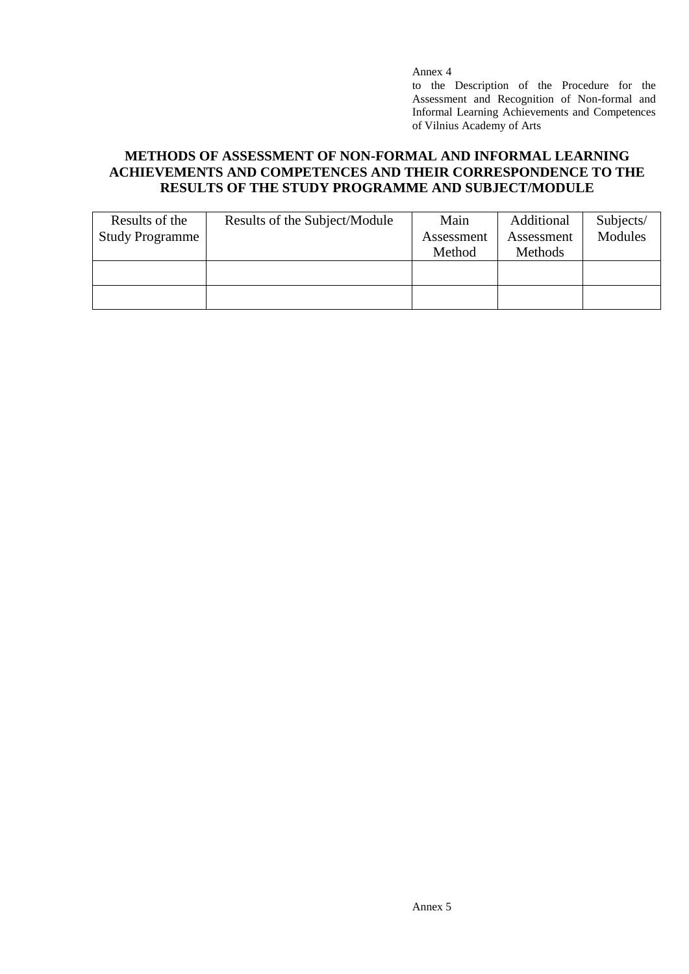Annex 4

to the Description of the Procedure for the Assessment and Recognition of Non-formal and Informal Learning Achievements and Competences of Vilnius Academy of Arts

## **METHODS OF ASSESSMENT OF NON-FORMAL AND INFORMAL LEARNING ACHIEVEMENTS AND COMPETENCES AND THEIR CORRESPONDENCE TO THE RESULTS OF THE STUDY PROGRAMME AND SUBJECT/MODULE**

| Results of the         | Results of the Subject/Module | Main       | Additional | Subjects/ |
|------------------------|-------------------------------|------------|------------|-----------|
| <b>Study Programme</b> |                               | Assessment | Assessment | Modules   |
|                        |                               | Method     | Methods    |           |
|                        |                               |            |            |           |
|                        |                               |            |            |           |
|                        |                               |            |            |           |
|                        |                               |            |            |           |